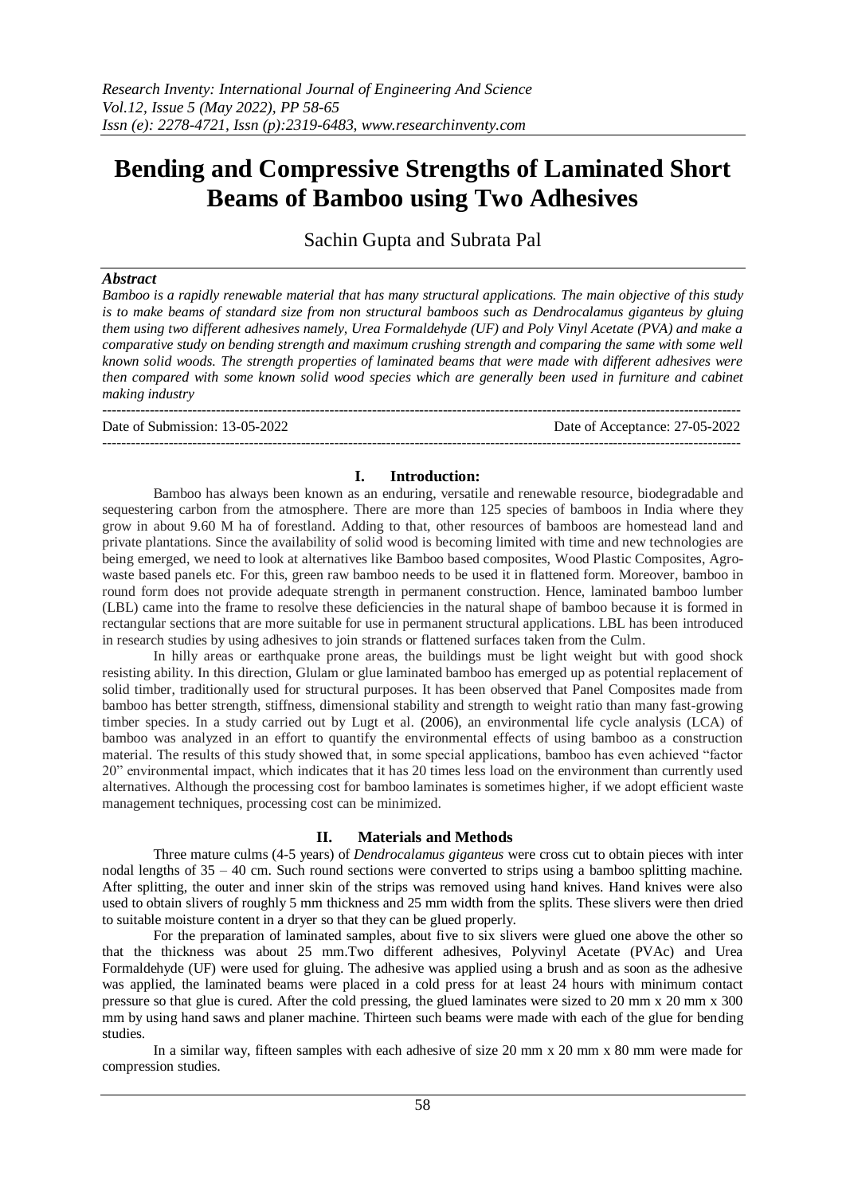# **Bending and Compressive Strengths of Laminated Short Beams of Bamboo using Two Adhesives**

Sachin Gupta and Subrata Pal

# *Abstract*

*Bamboo is a rapidly renewable material that has many structural applications. The main objective of this study is to make beams of standard size from non structural bamboos such as Dendrocalamus giganteus by gluing them using two different adhesives namely, Urea Formaldehyde (UF) and Poly Vinyl Acetate (PVA) and make a comparative study on bending strength and maximum crushing strength and comparing the same with some well known solid woods. The strength properties of laminated beams that were made with different adhesives were then compared with some known solid wood species which are generally been used in furniture and cabinet making industry*

--------------------------------------------------------------------------------------------------------------------------------------- Date of Submission: 13-05-2022 Date of Acceptance: 27-05-2022 ---------------------------------------------------------------------------------------------------------------------------------------

# **I. Introduction:**

Bamboo has always been known as an enduring, versatile and renewable resource, biodegradable and sequestering carbon from the atmosphere. There are more than 125 species of bamboos in India where they grow in about 9.60 M ha of forestland. Adding to that, other resources of bamboos are homestead land and private plantations. Since the availability of solid wood is becoming limited with time and new technologies are being emerged, we need to look at alternatives like Bamboo based composites, Wood Plastic Composites, Agrowaste based panels etc. For this, green raw bamboo needs to be used it in flattened form. Moreover, bamboo in round form does not provide adequate strength in permanent construction. Hence, laminated bamboo lumber (LBL) came into the frame to resolve these deficiencies in the natural shape of bamboo because it is formed in rectangular sections that are more suitable for use in permanent structural applications. LBL has been introduced in research studies by using adhesives to join strands or flattened surfaces taken from the Culm.

In hilly areas or earthquake prone areas, the buildings must be light weight but with good shock resisting ability. In this direction, Glulam or glue laminated bamboo has emerged up as potential replacement of solid timber, traditionally used for structural purposes. It has been observed that Panel Composites made from bamboo has better strength, stiffness, dimensional stability and strength to weight ratio than many fast-growing timber species. In a study carried out by Lugt et al. (2006), an environmental life cycle analysis (LCA) of bamboo was analyzed in an effort to quantify the environmental effects of using bamboo as a construction material. The results of this study showed that, in some special applications, bamboo has even achieved "factor 20" environmental impact, which indicates that it has 20 times less load on the environment than currently used alternatives. Although the processing cost for bamboo laminates is sometimes higher, if we adopt efficient waste management techniques, processing cost can be minimized.

## **II. Materials and Methods**

Three mature culms (4-5 years) of *Dendrocalamus giganteus* were cross cut to obtain pieces with inter nodal lengths of 35 – 40 cm. Such round sections were converted to strips using a bamboo splitting machine. After splitting, the outer and inner skin of the strips was removed using hand knives. Hand knives were also used to obtain slivers of roughly 5 mm thickness and 25 mm width from the splits. These slivers were then dried to suitable moisture content in a dryer so that they can be glued properly.

For the preparation of laminated samples, about five to six slivers were glued one above the other so that the thickness was about 25 mm.Two different adhesives, Polyvinyl Acetate (PVAc) and Urea Formaldehyde (UF) were used for gluing. The adhesive was applied using a brush and as soon as the adhesive was applied, the laminated beams were placed in a cold press for at least 24 hours with minimum contact pressure so that glue is cured. After the cold pressing, the glued laminates were sized to 20 mm x 20 mm x 300 mm by using hand saws and planer machine. Thirteen such beams were made with each of the glue for bending studies.

In a similar way, fifteen samples with each adhesive of size 20 mm x 20 mm x 80 mm were made for compression studies.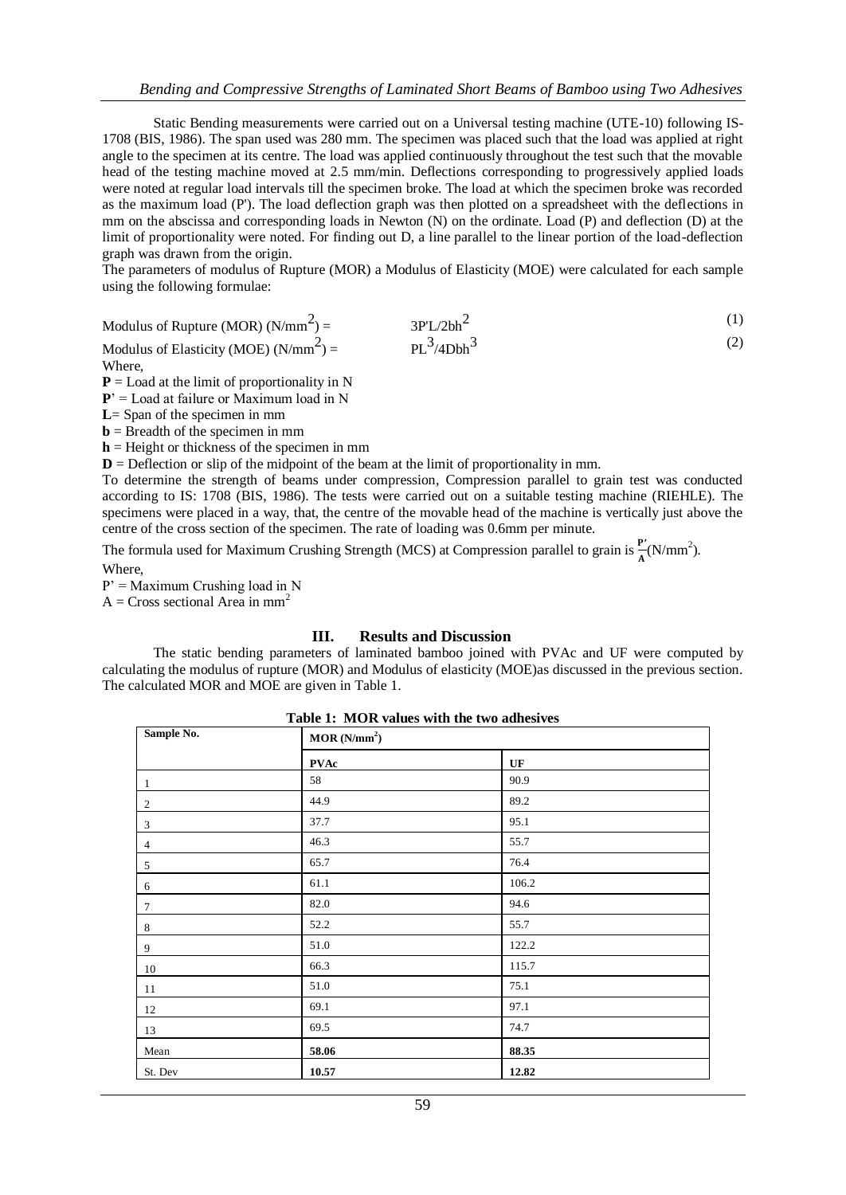Static Bending measurements were carried out on a Universal testing machine (UTE-10) following IS-1708 (BIS, 1986). The span used was 280 mm. The specimen was placed such that the load was applied at right angle to the specimen at its centre. The load was applied continuously throughout the test such that the movable head of the testing machine moved at 2.5 mm/min. Deflections corresponding to progressively applied loads were noted at regular load intervals till the specimen broke. The load at which the specimen broke was recorded as the maximum load (P'). The load deflection graph was then plotted on a spreadsheet with the deflections in mm on the abscissa and corresponding loads in Newton (N) on the ordinate. Load (P) and deflection (D) at the limit of proportionality were noted. For finding out D, a line parallel to the linear portion of the load-deflection graph was drawn from the origin.

The parameters of modulus of Rupture (MOR) a Modulus of Elasticity (MOE) were calculated for each sample using the following formulae:

Modulus of Rupture (MOR) (N/mm<sup>2</sup>) =  $=$  3P'L/2bh<sup>2</sup> (1) Modulus of Elasticity (MOE)  $(N/mm^2)$  =  $P_{\text{P}}^{3}/4\text{Dbh}^{3}$  (2)

Where,

 $P =$  Load at the limit of proportionality in N

**P**' = Load at failure or Maximum load in N

**L**= Span of the specimen in mm

 **= Breadth of the specimen in mm** 

 $h$  = Height or thickness of the specimen in mm

 $D =$  Deflection or slip of the midpoint of the beam at the limit of proportionality in mm.

To determine the strength of beams under compression, Compression parallel to grain test was conducted according to IS: 1708 (BIS, 1986). The tests were carried out on a suitable testing machine (RIEHLE). The specimens were placed in a way, that, the centre of the movable head of the machine is vertically just above the centre of the cross section of the specimen. The rate of loading was 0.6mm per minute.

The formula used for Maximum Crushing Strength (MCS) at Compression parallel to grain is  $\frac{P}{A}(N/mm^2)$ . Where,

 $P' =$  Maximum Crushing load in N

 $A = Cross sectional Area in mm<sup>2</sup>$ 

### **III. Results and Discussion**

The static bending parameters of laminated bamboo joined with PVAc and UF were computed by calculating the modulus of rupture (MOR) and Modulus of elasticity (MOE)as discussed in the previous section. The calculated MOR and MOE are given in Table 1.

| Table 1: MOR values with the two adhesives |  |  |  |  |  |  |
|--------------------------------------------|--|--|--|--|--|--|
|--------------------------------------------|--|--|--|--|--|--|

| Sample No.     | MOR(N/mm <sup>2</sup> ) |       |  |  |  |
|----------------|-------------------------|-------|--|--|--|
|                | <b>PVAc</b>             | UF    |  |  |  |
| $\mathbf{1}$   | 58                      | 90.9  |  |  |  |
| 2              | 44.9                    | 89.2  |  |  |  |
| 3              | 37.7                    | 95.1  |  |  |  |
| $\overline{4}$ | 46.3                    | 55.7  |  |  |  |
| 5              | 65.7                    | 76.4  |  |  |  |
| 6              | 61.1                    | 106.2 |  |  |  |
| $\overline{7}$ | 82.0                    | 94.6  |  |  |  |
| $8\,$          | 52.2                    | 55.7  |  |  |  |
| 9              | 51.0                    | 122.2 |  |  |  |
| 10             | 66.3                    | 115.7 |  |  |  |
| 11             | 51.0                    | 75.1  |  |  |  |
| 12             | 69.1                    | 97.1  |  |  |  |
| 13             | 69.5                    | 74.7  |  |  |  |
| Mean           | 58.06                   | 88.35 |  |  |  |
| St. Dev        | 10.57                   | 12.82 |  |  |  |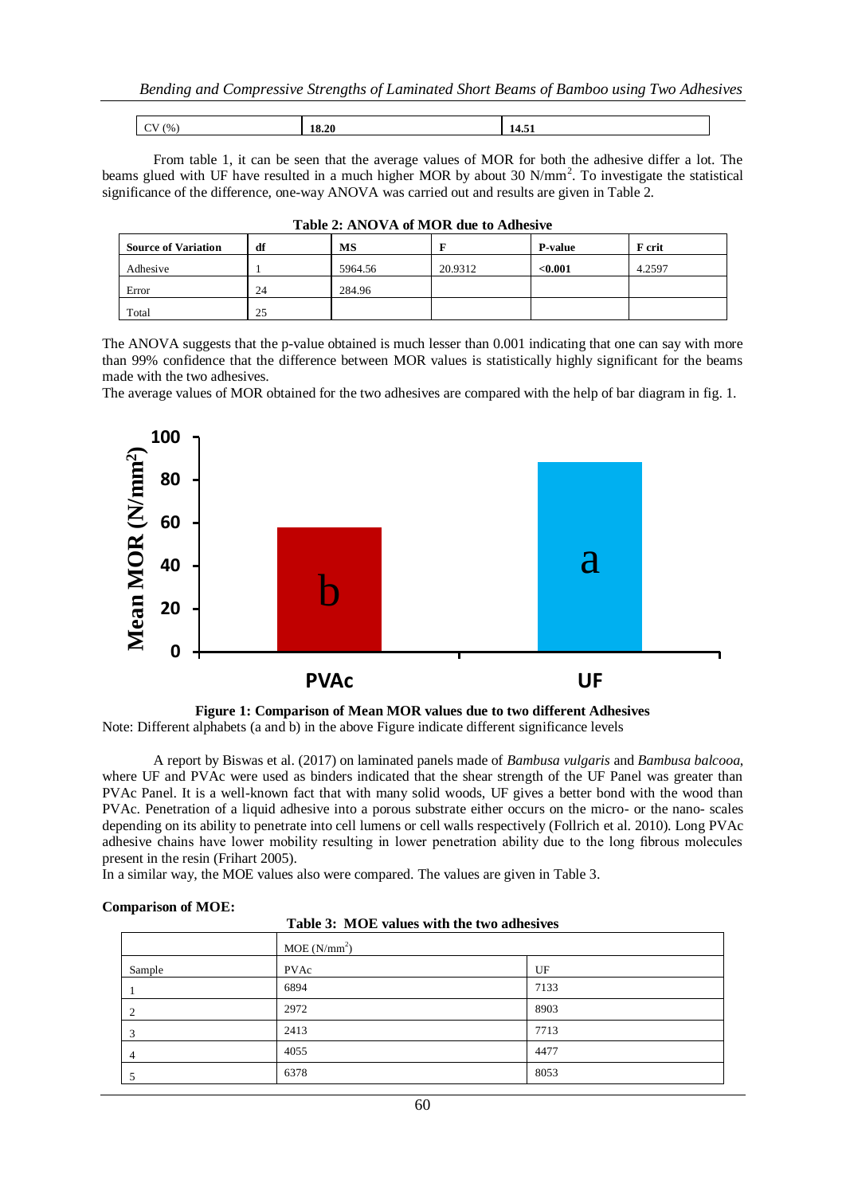| (0/2)<br>18.20<br><br>,,,<br>7.JL<br>- |
|----------------------------------------|
|----------------------------------------|

From table 1, it can be seen that the average values of MOR for both the adhesive differ a lot. The beams glued with UF have resulted in a much higher MOR by about 30 N/mm<sup>2</sup>. To investigate the statistical significance of the difference, one-way ANOVA was carried out and results are given in Table 2.

| <b>Source of Variation</b> | df | MS      |         | <b>P-value</b> | <b>F</b> crit |
|----------------------------|----|---------|---------|----------------|---------------|
| Adhesive                   |    | 5964.56 | 20.9312 | < 0.001        | 4.2597        |
| Error                      | 24 | 284.96  |         |                |               |
| Total                      | 25 |         |         |                |               |

|  |  | Table 2: ANOVA of MOR due to Adhesive |
|--|--|---------------------------------------|
|--|--|---------------------------------------|

The ANOVA suggests that the p-value obtained is much lesser than 0.001 indicating that one can say with more than 99% confidence that the difference between MOR values is statistically highly significant for the beams made with the two adhesives.

The average values of MOR obtained for the two adhesives are compared with the help of bar diagram in fig. 1.



**Figure 1: Comparison of Mean MOR values due to two different Adhesives** Note: Different alphabets (a and b) in the above Figure indicate different significance levels

A report by Biswas et al. (2017) on laminated panels made of *Bambusa vulgaris* and *Bambusa balcooa*, where UF and PVAc were used as binders indicated that the shear strength of the UF Panel was greater than PVAc Panel. It is a well-known fact that with many solid woods, UF gives a better bond with the wood than PVAc. Penetration of a liquid adhesive into a porous substrate either occurs on the micro- or the nano- scales depending on its ability to penetrate into cell lumens or cell walls respectively (Follrich et al. 2010). Long PVAc adhesive chains have lower mobility resulting in lower penetration ability due to the long fibrous molecules present in the resin (Frihart 2005).

In a similar way, the MOE values also were compared. The values are given in Table 3.

### **Comparison of MOE:**

| Table 3: MOE values with the two adhesives |
|--------------------------------------------|
|--------------------------------------------|

|        | MOE(N/mm <sup>2</sup> ) |      |  |  |  |
|--------|-------------------------|------|--|--|--|
| Sample | PVAc                    | UF   |  |  |  |
|        | 6894                    | 7133 |  |  |  |
|        | 2972                    | 8903 |  |  |  |
|        | 2413                    | 7713 |  |  |  |
|        | 4055                    | 4477 |  |  |  |
|        | 6378                    | 8053 |  |  |  |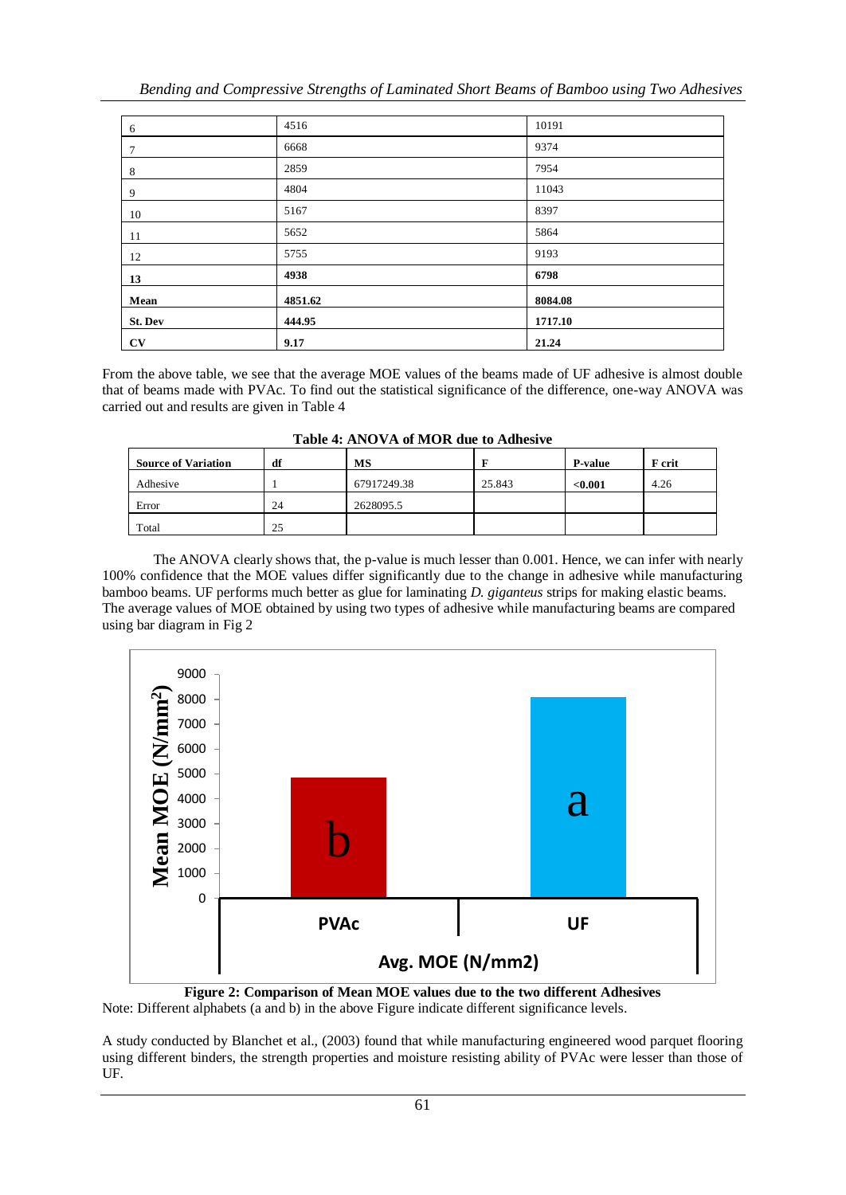| 6       | 4516    | 10191   |
|---------|---------|---------|
| 7       | 6668    | 9374    |
| 8       | 2859    | 7954    |
| 9       | 4804    | 11043   |
| 10      | 5167    | 8397    |
| 11      | 5652    | 5864    |
| 12      | 5755    | 9193    |
| 13      | 4938    | 6798    |
| Mean    | 4851.62 | 8084.08 |
| St. Dev | 444.95  | 1717.10 |
| CV      | 9.17    | 21.24   |

From the above table, we see that the average MOE values of the beams made of UF adhesive is almost double that of beams made with PVAc. To find out the statistical significance of the difference, one-way ANOVA was carried out and results are given in Table 4

| <b>Source of Variation</b> | df | МS          |        | <b>P-value</b> | F crit |
|----------------------------|----|-------------|--------|----------------|--------|
| Adhesive                   |    | 67917249.38 | 25.843 | < 0.001        | 4.26   |
| Error                      | 24 | 2628095.5   |        |                |        |
| Total                      | 25 |             |        |                |        |

**Table 4: ANOVA of MOR due to Adhesive**

The ANOVA clearly shows that, the p-value is much lesser than 0.001. Hence, we can infer with nearly 100% confidence that the MOE values differ significantly due to the change in adhesive while manufacturing bamboo beams. UF performs much better as glue for laminating *D. giganteus* strips for making elastic beams. The average values of MOE obtained by using two types of adhesive while manufacturing beams are compared using bar diagram in Fig 2



**Figure 2: Comparison of Mean MOE values due to the two different Adhesives** Note: Different alphabets (a and b) in the above Figure indicate different significance levels.

A study conducted by Blanchet et al., (2003) found that while manufacturing engineered wood parquet flooring using different binders, the strength properties and moisture resisting ability of PVAc were lesser than those of UF.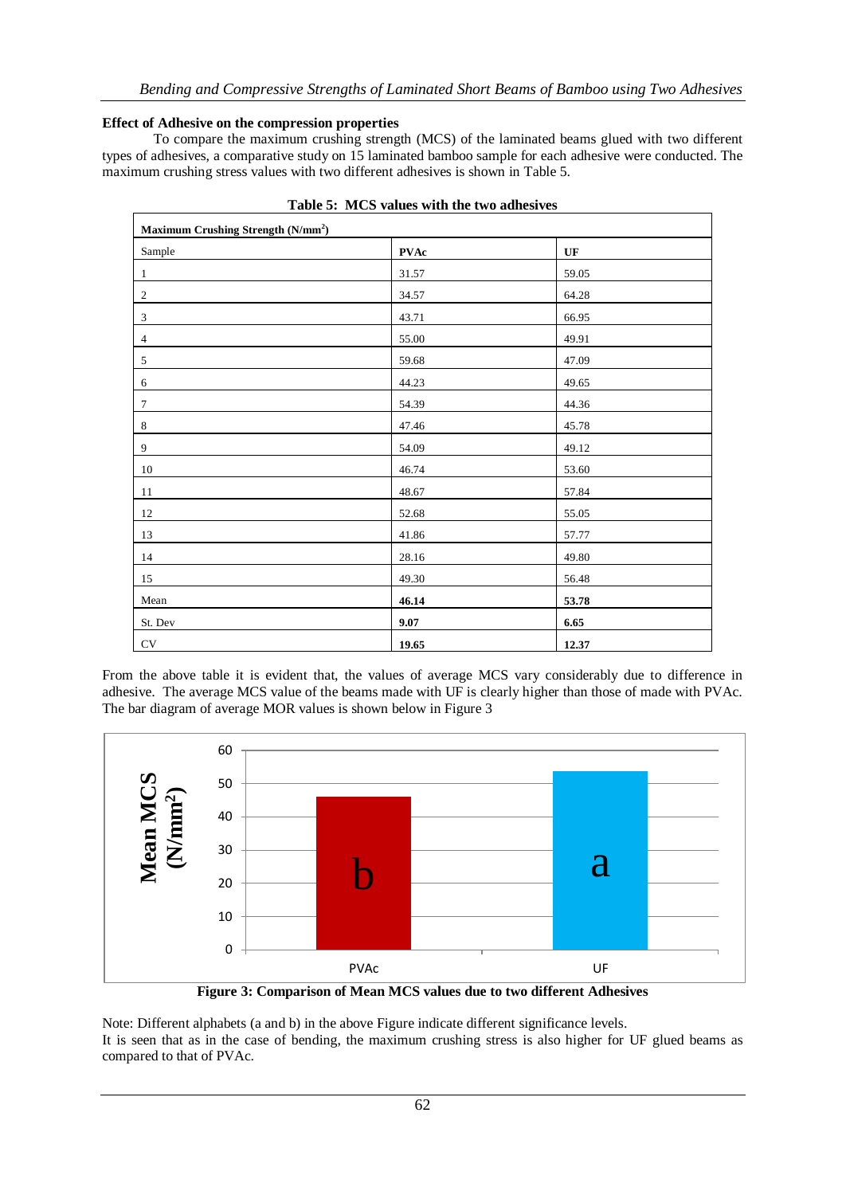# **Effect of Adhesive on the compression properties**

To compare the maximum crushing strength (MCS) of the laminated beams glued with two different types of adhesives, a comparative study on 15 laminated bamboo sample for each adhesive were conducted. The maximum crushing stress values with two different adhesives is shown in Table 5.

| Maximum Crushing Strength (N/mm <sup>2</sup> ) |             |                        |  |  |  |  |
|------------------------------------------------|-------------|------------------------|--|--|--|--|
| Sample                                         | <b>PVAc</b> | $\mathbf{U}\mathbf{F}$ |  |  |  |  |
| 1                                              | 31.57       | 59.05                  |  |  |  |  |
| $\sqrt{2}$                                     | 34.57       | 64.28                  |  |  |  |  |
| $\sqrt{3}$                                     | 43.71       | 66.95                  |  |  |  |  |
| $\overline{4}$                                 | 55.00       | 49.91                  |  |  |  |  |
| 5                                              | 59.68       | 47.09                  |  |  |  |  |
| 6                                              | 44.23       | 49.65                  |  |  |  |  |
| $\overline{7}$                                 | 54.39       | 44.36                  |  |  |  |  |
| $\,8\,$                                        | 47.46       | 45.78                  |  |  |  |  |
| 9                                              | 54.09       | 49.12                  |  |  |  |  |
| 10                                             | 46.74       | 53.60                  |  |  |  |  |
| 11                                             | 48.67       | 57.84                  |  |  |  |  |
| 12                                             | 52.68       | 55.05                  |  |  |  |  |
| 13                                             | 41.86       | 57.77                  |  |  |  |  |
| 14                                             | 28.16       | 49.80                  |  |  |  |  |
| 15                                             | 49.30       | 56.48                  |  |  |  |  |
| Mean                                           | 46.14       | 53.78                  |  |  |  |  |
| St. Dev                                        | 9.07        | 6.65                   |  |  |  |  |
| CV                                             | 19.65       | 12.37                  |  |  |  |  |

|  |  |  | Table 5: MCS values with the two adhesives |
|--|--|--|--------------------------------------------|
|  |  |  |                                            |

From the above table it is evident that, the values of average MCS vary considerably due to difference in adhesive. The average MCS value of the beams made with UF is clearly higher than those of made with PVAc. The bar diagram of average MOR values is shown below in Figure 3



**Figure 3: Comparison of Mean MCS values due to two different Adhesives**

Note: Different alphabets (a and b) in the above Figure indicate different significance levels. It is seen that as in the case of bending, the maximum crushing stress is also higher for UF glued beams as compared to that of PVAc.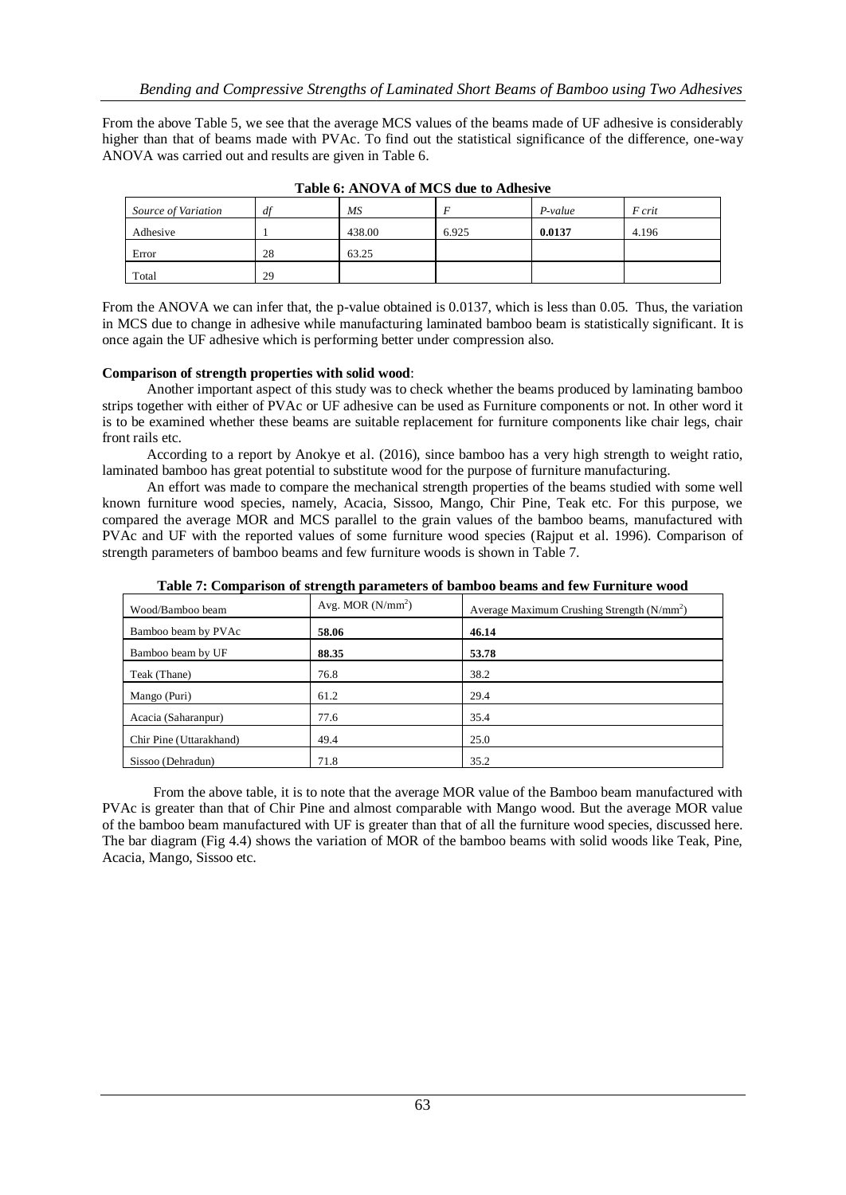From the above Table 5, we see that the average MCS values of the beams made of UF adhesive is considerably higher than that of beams made with PVAc. To find out the statistical significance of the difference, one-way ANOVA was carried out and results are given in Table 6.

| Source of Variation | df | MS     |       | P-value | F crit |
|---------------------|----|--------|-------|---------|--------|
| Adhesive            |    | 438.00 | 6.925 | 0.0137  | 4.196  |
| Error               | 28 | 63.25  |       |         |        |
| Total               | 29 |        |       |         |        |

**Table 6: ANOVA of MCS due to Adhesive**

From the ANOVA we can infer that, the p-value obtained is 0.0137, which is less than 0.05. Thus, the variation in MCS due to change in adhesive while manufacturing laminated bamboo beam is statistically significant. It is once again the UF adhesive which is performing better under compression also.

# **Comparison of strength properties with solid wood**:

Another important aspect of this study was to check whether the beams produced by laminating bamboo strips together with either of PVAc or UF adhesive can be used as Furniture components or not. In other word it is to be examined whether these beams are suitable replacement for furniture components like chair legs, chair front rails etc.

According to a report by Anokye et al. (2016), since bamboo has a very high strength to weight ratio, laminated bamboo has great potential to substitute wood for the purpose of furniture manufacturing.

An effort was made to compare the mechanical strength properties of the beams studied with some well known furniture wood species, namely, Acacia, Sissoo, Mango, Chir Pine, Teak etc. For this purpose, we compared the average MOR and MCS parallel to the grain values of the bamboo beams, manufactured with PVAc and UF with the reported values of some furniture wood species (Rajput et al. 1996). Comparison of strength parameters of bamboo beams and few furniture woods is shown in Table 7.

| TWORE IT COMPANY HOUR OF DER ENGINE PARTMENTED OF DEMAND OU |                    |                                             |
|-------------------------------------------------------------|--------------------|---------------------------------------------|
| Wood/Bamboo beam                                            | Avg. MOR $(N/mm2)$ | Average Maximum Crushing Strength $(N/mm2)$ |
| Bamboo beam by PVAc                                         | 58.06              | 46.14                                       |
| Bamboo beam by UF                                           | 88.35              | 53.78                                       |
| Teak (Thane)                                                | 76.8               | 38.2                                        |
| Mango (Puri)                                                | 61.2               | 29.4                                        |
| Acacia (Saharanpur)                                         | 77.6               | 35.4                                        |
| Chir Pine (Uttarakhand)                                     | 49.4               | 25.0                                        |
| Sissoo (Dehradun)                                           | 71.8               | 35.2                                        |

**Table 7: Comparison of strength parameters of bamboo beams and few Furniture wood**

From the above table, it is to note that the average MOR value of the Bamboo beam manufactured with PVAc is greater than that of Chir Pine and almost comparable with Mango wood. But the average MOR value of the bamboo beam manufactured with UF is greater than that of all the furniture wood species, discussed here. The bar diagram (Fig 4.4) shows the variation of MOR of the bamboo beams with solid woods like Teak, Pine, Acacia, Mango, Sissoo etc.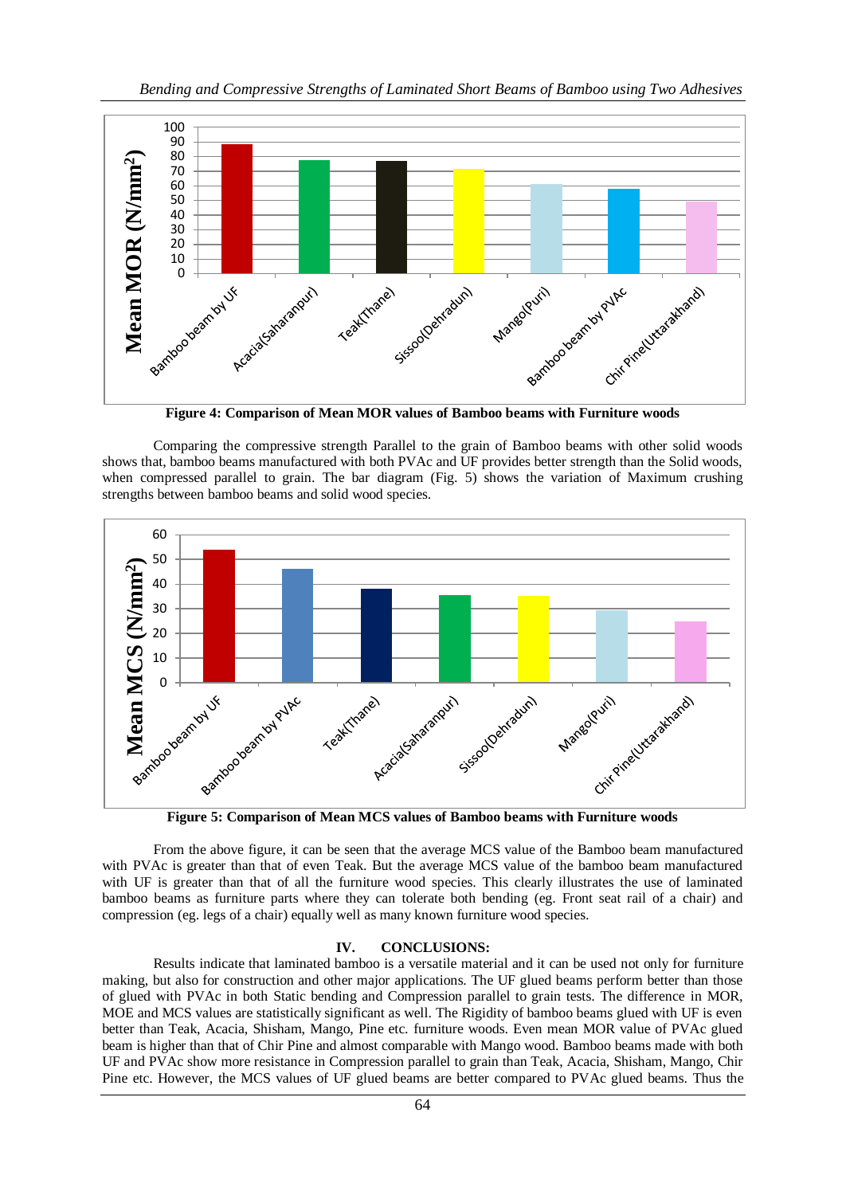

**Figure 4: Comparison of Mean MOR values of Bamboo beams with Furniture woods**

Comparing the compressive strength Parallel to the grain of Bamboo beams with other solid woods shows that, bamboo beams manufactured with both PVAc and UF provides better strength than the Solid woods, when compressed parallel to grain. The bar diagram (Fig. 5) shows the variation of Maximum crushing strengths between bamboo beams and solid wood species.



From the above figure, it can be seen that the average MCS value of the Bamboo beam manufactured with PVAc is greater than that of even Teak. But the average MCS value of the bamboo beam manufactured with UF is greater than that of all the furniture wood species. This clearly illustrates the use of laminated bamboo beams as furniture parts where they can tolerate both bending (eg. Front seat rail of a chair) and compression (eg. legs of a chair) equally well as many known furniture wood species.

## **IV. CONCLUSIONS:**

Results indicate that laminated bamboo is a versatile material and it can be used not only for furniture making, but also for construction and other major applications. The UF glued beams perform better than those of glued with PVAc in both Static bending and Compression parallel to grain tests. The difference in MOR, MOE and MCS values are statistically significant as well. The Rigidity of bamboo beams glued with UF is even better than Teak, Acacia, Shisham, Mango, Pine etc. furniture woods. Even mean MOR value of PVAc glued beam is higher than that of Chir Pine and almost comparable with Mango wood. Bamboo beams made with both UF and PVAc show more resistance in Compression parallel to grain than Teak, Acacia, Shisham, Mango, Chir Pine etc. However, the MCS values of UF glued beams are better compared to PVAc glued beams. Thus the